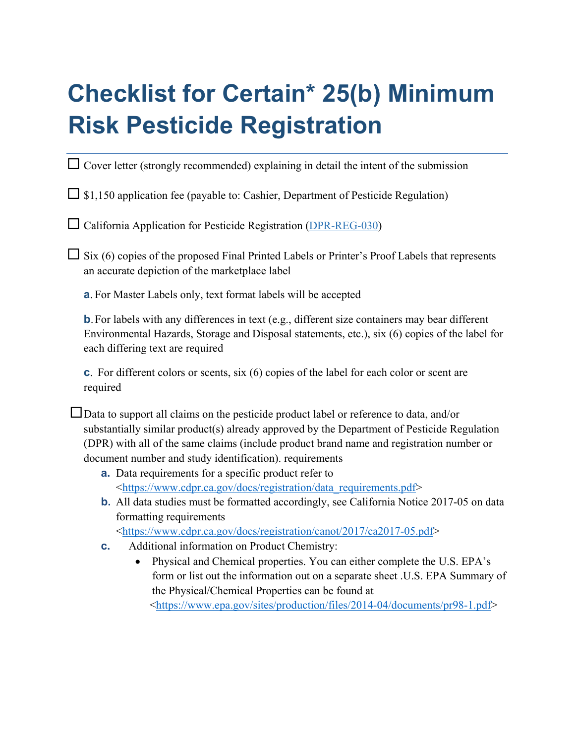## **Checklist for Certain\* 25(b) Minimum Risk Pesticide Registration**

 $\Box$  Cover letter (strongly recommended) explaining in detail the intent of the submission

 $\Box$  \$1,150 application fee (payable to: Cashier, Department of Pesticide Regulation)

 $\Box$  California Application for Pesticide Registration (DPR-REG-030)

 $\Box$  Six (6) copies of the proposed Final Printed Labels or Printer's Proof Labels that represents an accurate depiction of the marketplace label

**a**. For Master Labels only, text format labels will be accepted

**b**. For labels with any differences in text (e.g., different size containers may bear different Environmental Hazards, Storage and Disposal statements, etc.), six (6) copies of the label for each differing text are required

**c**. For different colors or scents, six (6) copies of the label for each color or scent are required

 $\square$ Data to support all claims on the pesticide product label or reference to data, and/or substantially similar product(s) already approved by the Department of Pesticide Regulation (DPR) with all of the same claims (include product brand name and registration number or document number and study identification). requirements

- **a.** Data requirements for a specific product refer to [<https://www.cdpr.ca.gov/docs/registration/data\\_requirements.pdf>](https://www.cdpr.ca.gov/docs/registration/data_requirements.pdf)
- **b.** All data studies must be formatted accordingly, see California Notice 2017-05 on data formatting requirements

[<https://www.cdpr.ca.gov/docs/registration/canot/2017/ca2017-05.pdf>](https://www.cdpr.ca.gov/docs/registration/canot/2017/ca2017-05.pdf)

- **c.** Additional information on Product Chemistry:
	- Physical and Chemical properties. You can either complete the U.S. EPA's form or list out the information out on a separate sheet .U.S. EPA Summary of the Physical/Chemical Properties can be found at [<https://www.epa.gov/sites/production/files/2014-04/documents/pr98-1.pdf>](https://www.epa.gov/sites/production/files/2014-04/documents/pr98-1.pdf)